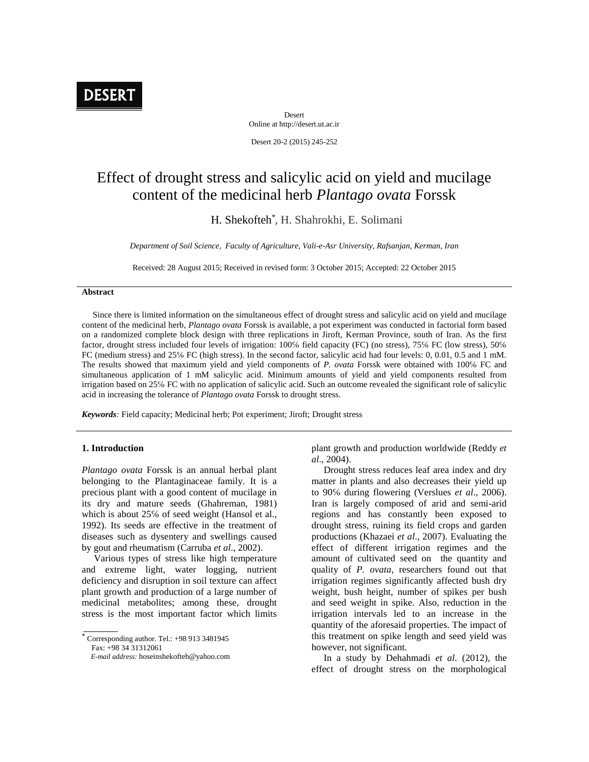

Desert Online at http://desert.ut.ac.ir

Desert 20-2 (2015) 245-252

# Effect of drought stress and salicylic acid on yield and mucilage content of the medicinal herb *Plantago ovata* Forssk

H. Shekofteh<sup>\*</sup>, H. Shahrokhi, E. Solimani

*Department of Soil Science, Faculty of Agriculture, Vali-e-Asr University, Rafsanjan, Kerman, Iran*

Received: 28 August 2015; Received in revised form: 3 October 2015; Accepted: 22 October 2015

## **Abstract**

Since there is limited information on the simultaneous effect of drought stress and salicylic acid on yield and mucilage content of the medicinal herb, *Plantago ovata* Forssk is available, a pot experiment was conducted in factorial form based on a randomized complete block design with three replications in Jiroft, Kerman Province, south of Iran. As the first factor, drought stress included four levels of irrigation: 100 field capacity (FC) (no stress), 75 FC (low stress), 50 FC (medium stress) and 25 FC (high stress). In the second factor, salicylic acid had four levels: 0, 0.01, 0.5 and 1 mM. The results showed that maximum yield and yield components of *P. ovata* Forssk were obtained with 100 FC and simultaneous application of 1 mM salicylic acid. Minimum amounts of yield and yield components resulted from irrigation based on 25 FC with no application of salicylic acid. Such an outcome revealed the significant role of salicylic acid in increasing the tolerance of *Plantago ovata* Forssk to drought stress.

*Keywords:* Field capacity; Medicinal herb; Pot experiment; Jiroft; Drought stress

#### **1. Introduction**

*Plantago ovata* Forssk is an annual herbal plant belonging to the Plantaginaceae family. It is a precious plant with a good content of mucilage in its dry and mature seeds (Ghahreman, 1981) which is about  $25$  of seed weight (Hansol et al., 1992). Its seeds are effective in the treatment of diseases such as dysentery and swellings caused by gout and rheumatism (Carruba *et al*., 2002).

Various types of stress like high temperature and extreme light, water logging, nutrient deficiency and disruption in soil texture can affect plant growth and production of a large number of medicinal metabolites; among these, drought stress is the most important factor which limits

 Corresponding author. Tel.: +98 913 3481945 Fax: +98 34 31312061

plant growth and production worldwide (Reddy *et al*., 2004).

Drought stress reduces leaf area index and dry matter in plants and also decreases their yield up to 90 during flowering (Verslues *et al.*, 2006). Iran is largely composed of arid and semi-arid regions and has constantly been exposed to drought stress, ruining its field crops and garden productions (Khazaei *et al*., 2007). Evaluating the effect of different irrigation regimes and the amount of cultivated seed on the quantity and quality of *P. ovata*, researchers found out that irrigation regimes significantly affected bush dry weight, bush height, number of spikes per bush and seed weight in spike. Also, reduction in the irrigation intervals led to an increase in the quantity of the aforesaid properties. The impact of this treatment on spike length and seed yield was however, not significant.

In a study by Dehahmadi *et al*. (2012), the effect of drought stress on the morphological

*E-mail address:* hoseinshekofteh@yahoo.com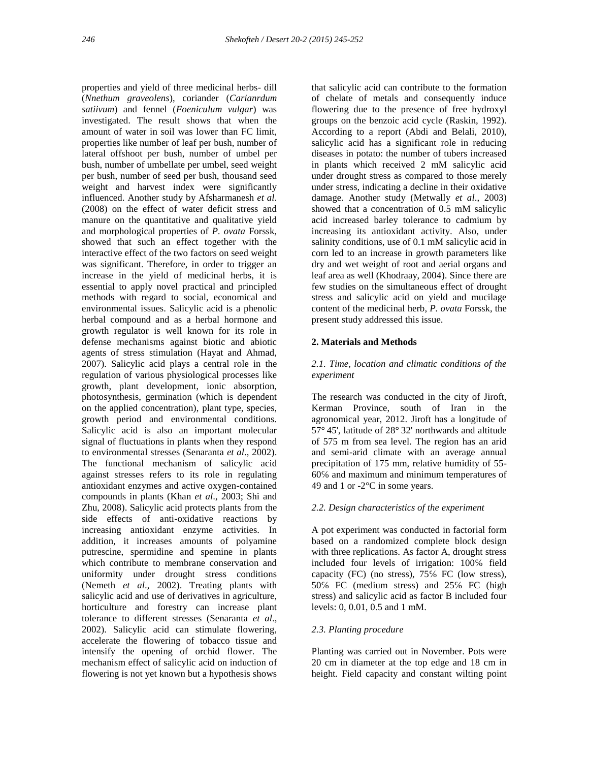properties and yield of three medicinal herbs- dill (*Nnethum graveolens*), coriander (*Carianrdum satiivum*) and fennel (*Foeniculum vulgar*) was investigated. The result shows that when the amount of water in soil was lower than FC limit, properties like number of leaf per bush, number of lateral offshoot per bush, number of umbel per bush, number of umbellate per umbel, seed weight per bush, number of seed per bush, thousand seed weight and harvest index were significantly influenced. Another study by Afsharmanesh *et al*. (2008) on the effect of water deficit stress and manure on the quantitative and qualitative yield and morphological properties of *P. ovata* Forssk, showed that such an effect together with the interactive effect of the two factors on seed weight was significant. Therefore, in order to trigger an increase in the yield of medicinal herbs, it is essential to apply novel practical and principled methods with regard to social, economical and environmental issues. Salicylic acid is a phenolic herbal compound and as a herbal hormone and growth regulator is well known for its role in defense mechanisms against biotic and abiotic agents of stress stimulation (Hayat and Ahmad, 2007). Salicylic acid plays a central role in the regulation of various physiological processes like growth, plant development, ionic absorption, photosynthesis, germination (which is dependent on the applied concentration), plant type, species, growth period and environmental conditions. Salicylic acid is also an important molecular signal of fluctuations in plants when they respond to environmental stresses (Senaranta *et al*., 2002). The functional mechanism of salicylic acid against stresses refers to its role in regulating antioxidant enzymes and active oxygen-contained compounds in plants (Khan *et al*., 2003; Shi and Zhu, 2008). Salicylic acid protects plants from the side effects of anti-oxidative reactions by increasing antioxidant enzyme activities. In addition, it increases amounts of polyamine putrescine, spermidine and spemine in plants which contribute to membrane conservation and uniformity under drought stress conditions (Nemeth *et al*., 2002). Treating plants with salicylic acid and use of derivatives in agriculture, horticulture and forestry can increase plant tolerance to different stresses (Senaranta *et al*., 2002). Salicylic acid can stimulate flowering, accelerate the flowering of tobacco tissue and intensify the opening of orchid flower. The mechanism effect of salicylic acid on induction of flowering is not yet known but a hypothesis shows

that salicylic acid can contribute to the formation of chelate of metals and consequently induce flowering due to the presence of free hydroxyl groups on the benzoic acid cycle (Raskin, 1992). According to a report (Abdi and Belali, 2010), salicylic acid has a significant role in reducing diseases in potato: the number of tubers increased in plants which received 2 mM salicylic acid under drought stress as compared to those merely under stress, indicating a decline in their oxidative damage. Another study (Metwally *et al*., 2003) showed that a concentration of 0.5 mM salicylic acid increased barley tolerance to cadmium by increasing its antioxidant activity. Also, under salinity conditions, use of 0.1 mM salicylic acid in corn led to an increase in growth parameters like dry and wet weight of root and aerial organs and leaf area as well (Khodraay, 2004). Since there are few studies on the simultaneous effect of drought stress and salicylic acid on yield and mucilage content of the medicinal herb, *P. ovata* Forssk, the present study addressed this issue.

# **2. Materials and Methods**

# *2.1. Time, location and climatic conditions of the experiment*

The research was conducted in the city of Jiroft, Kerman Province, south of Iran in the agronomical year, 2012. Jiroft has a longitude of 57° 45', latitude of 28° 32' northwards and altitude of 575 m from sea level. The region has an arid and semi-arid climate with an average annual precipitation of 175 mm, relative humidity of 55-60 and maximum and minimum temperatures of 49 and 1 or -2°C in some years.

## *2.2. Design characteristics of the experiment*

A pot experiment was conducted in factorial form based on a randomized complete block design with three replications. As factor A, drought stress included four levels of irrigation: 100 field capacity  $(FC)$  (no stress),  $75$  FC (low stress), 50 FC (medium stress) and 25 FC (high stress) and salicylic acid as factor B included four levels: 0, 0.01, 0.5 and 1 mM.

# *2.3. Planting procedure*

Planting was carried out in November. Pots were 20 cm in diameter at the top edge and 18 cm in height. Field capacity and constant wilting point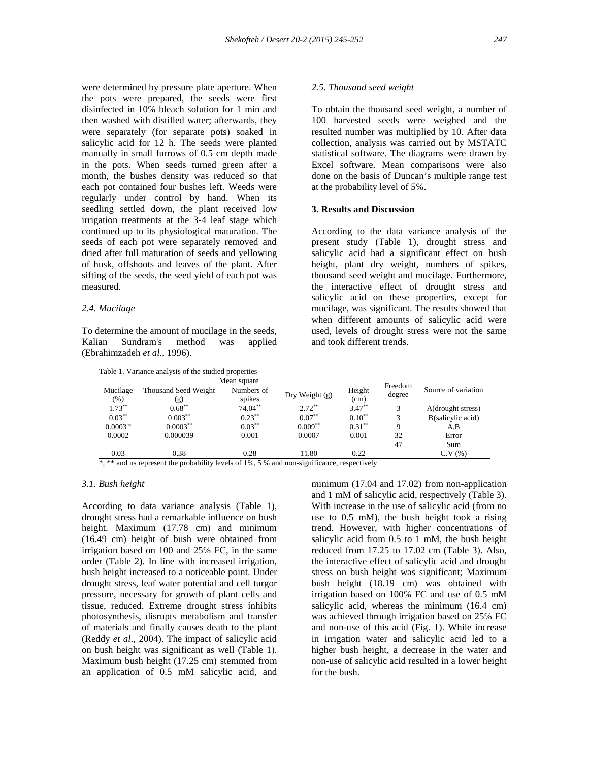were determined by pressure plate aperture. When the pots were prepared, the seeds were first disinfected in 10 bleach solution for 1 min and then washed with distilled water; afterwards, they were separately (for separate pots) soaked in salicylic acid for 12 h. The seeds were planted manually in small furrows of 0.5 cm depth made in the pots. When seeds turned green after a month, the bushes density was reduced so that each pot contained four bushes left. Weeds were regularly under control by hand. When its seedling settled down, the plant received low irrigation treatments at the 3-4 leaf stage which continued up to its physiological maturation. The seeds of each pot were separately removed and dried after full maturation of seeds and yellowing of husk, offshoots and leaves of the plant. After sifting of the seeds, the seed yield of each pot was measured.

## *2.4. Mucilage*

To determine the amount of mucilage in the seeds, Kalian Sundram's method was applied (Ebrahimzadeh *et al*., 1996).

Table 1. Variance analysis of the studied properties

## *2.5. Thousand seed weight*

To obtain the thousand seed weight, a number of 100 harvested seeds were weighed and the resulted number was multiplied by 10. After data collection, analysis was carried out by MSTATC statistical software. The diagrams were drawn by Excel software. Mean comparisons were also done on the basis of Duncan's multiple range test at the probability level of  $5<sup>6</sup>$ .

#### **3. Results and Discussion**

According to the data variance analysis of the present study (Table 1), drought stress and salicylic acid had a significant effect on bush height, plant dry weight, numbers of spikes, thousand seed weight and mucilage. Furthermore, the interactive effect of drought stress and salicylic acid on these properties, except for mucilage, was significant. The results showed that when different amounts of salicylic acid were used, levels of drought stress were not the same and took different trends.

| Mean square        |                             |                      |                  |                |                   |                     |
|--------------------|-----------------------------|----------------------|------------------|----------------|-------------------|---------------------|
| Mucilage<br>$(\%)$ | Thousand Seed Weight<br>(g) | Numbers of<br>spikes | Dry Weight $(g)$ | Height<br>(cm) | Freedom<br>degree | Source of variation |
| $1.73***$          | $0.68***$                   | $74.04**$            | $2.72***$        | $3.47***$      | 3                 | A(drought stress)   |
| $0.03***$          | $0.003***$                  | $0.23***$            | $0.07***$        | $0.10^{**}$    | 3                 | B(salicylic acid)   |
| $0.0003^{ns}$      | $0.0003***$                 | $0.03***$            | $0.009**$        | $0.31***$      | 9                 | A.B                 |
| 0.0002             | 0.000039                    | 0.001                | 0.0007           | 0.001          | 32                | Error               |
|                    |                             |                      |                  |                | 47                | Sum                 |
| 0.03               | 0.38                        | 0.28                 | 11.80            | 0.22           |                   | C.V(%)              |

\*, \*\* and ns represent the probability levels of 1, 5 and non-significance, respectively

#### *3.1. Bush height*

According to data variance analysis (Table 1), drought stress had a remarkable influence on bush height. Maximum (17.78 cm) and minimum (16.49 cm) height of bush were obtained from irrigation based on 100 and 25 FC, in the same order (Table 2). In line with increased irrigation, bush height increased to a noticeable point. Under drought stress, leaf water potential and cell turgor pressure, necessary for growth of plant cells and tissue, reduced. Extreme drought stress inhibits photosynthesis, disrupts metabolism and transfer of materials and finally causes death to the plant (Reddy *et al*., 2004). The impact of salicylic acid on bush height was significant as well (Table 1). Maximum bush height (17.25 cm) stemmed from an application of 0.5 mM salicylic acid, and

minimum (17.04 and 17.02) from non-application and 1 mM of salicylic acid, respectively (Table 3). With increase in the use of salicylic acid (from no use to 0.5 mM), the bush height took a rising trend. However, with higher concentrations of salicylic acid from 0.5 to 1 mM, the bush height reduced from 17.25 to 17.02 cm (Table 3). Also, the interactive effect of salicylic acid and drought stress on bush height was significant; Maximum bush height (18.19 cm) was obtained with irrigation based on 100 FC and use of 0.5 mM salicylic acid, whereas the minimum (16.4 cm) was achieved through irrigation based on 25 FC and non-use of this acid (Fig. 1). While increase in irrigation water and salicylic acid led to a higher bush height, a decrease in the water and non-use of salicylic acid resulted in a lower height for the bush.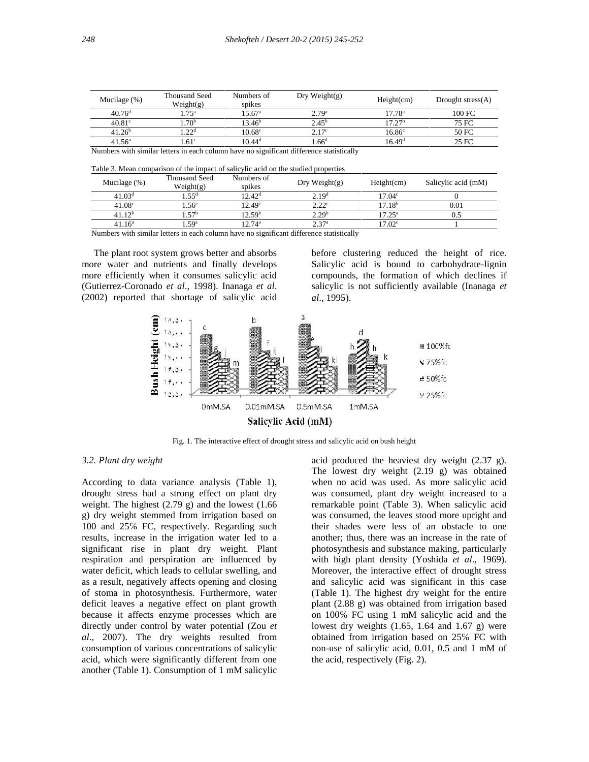| Mucilage $(\%)$    | Thousand Seed<br>Weight(g) | Numbers of<br>spikes | Dry Weight $(g)$  | Height(cm)         | Drought stress $(A)$ |
|--------------------|----------------------------|----------------------|-------------------|--------------------|----------------------|
| 40.76 <sup>d</sup> | 75 <sup>a</sup>            | $15.67^{\circ}$      | 2.79 <sup>a</sup> | $17.78^{\rm a}$    | 100 FC               |
| $40.81^\circ$      | .70 <sup>b</sup>           | $13.46^{\rm b}$      | $2.45^{\rm b}$    | 17.27 <sup>b</sup> | 75 FC                |
| 41.26 <sup>b</sup> | 22d                        | $10.68^\circ$        | 2 17°             | $16.86^\circ$      | 50 FC                |
| $41.56^{\circ}$    | 61 <sup>c</sup>            | $10.44^d$            | .66 <sup>d</sup>  | 16.49 <sup>d</sup> | 25 FC                |

Numbers with similar letters in each column have no significant difference statistically

Table 3. Mean comparison of the impact of salicylic acid on the studied properties

| Mucilage $(\%)$    | <b>Thousand Seed</b><br>Weight(g) | Numbers of<br>spikes | Dry Weight $(g)$  | Height(cm)         | Salicylic acid (mM) |
|--------------------|-----------------------------------|----------------------|-------------------|--------------------|---------------------|
| 41.03 <sup>d</sup> | .55 <sup>d</sup>                  | 12.42 <sup>d</sup>   | 2.19 <sup>d</sup> | 17.04 <sup>c</sup> |                     |
| 41.08 <sup>c</sup> | .56 <sup>c</sup>                  | 12.49 <sup>c</sup>   | 2.22 <sup>c</sup> | 17.18 <sup>b</sup> | $_{0.01}$           |
| 41.12 <sup>b</sup> | 57 <sup>b</sup>                   | $12.59^{\rm b}$      | 2.29 <sup>b</sup> | $17.25^{\rm a}$    |                     |
| $41.16^a$          | .59 <sup>a</sup>                  | $12.74^{\rm a}$      | 2.7a              | 17.02 <sup>c</sup> |                     |

Numbers with similar letters in each column have no significant difference statistically

The plant root system grows better and absorbs more water and nutrients and finally develops more efficiently when it consumes salicylic acid (Gutierrez-Coronado *et al*., 1998). Inanaga *et al*. (2002) reported that shortage of salicylic acid before clustering reduced the height of rice. Salicylic acid is bound to carbohydrate-lignin compounds, the formation of which declines if salicylic is not sufficiently available (Inanaga *et al*., 1995).



Fig. 1. The interactive effect of drought stress and salicylic acid on bush height

## *3.2. Plant dry weight*

According to data variance analysis (Table 1), drought stress had a strong effect on plant dry weight. The highest (2.79 g) and the lowest (1.66 g) dry weight stemmed from irrigation based on 100 and 25 FC, respectively. Regarding such results, increase in the irrigation water led to a significant rise in plant dry weight. Plant respiration and perspiration are influenced by water deficit, which leads to cellular swelling, and as a result, negatively affects opening and closing of stoma in photosynthesis. Furthermore, water deficit leaves a negative effect on plant growth because it affects enzyme processes which are directly under control by water potential (Zou *et al*., 2007). The dry weights resulted from consumption of various concentrations of salicylic acid, which were significantly different from one another (Table 1). Consumption of 1 mM salicylic acid produced the heaviest dry weight (2.37 g). The lowest dry weight (2.19 g) was obtained when no acid was used. As more salicylic acid was consumed, plant dry weight increased to a remarkable point (Table 3). When salicylic acid was consumed, the leaves stood more upright and their shades were less of an obstacle to one another; thus, there was an increase in the rate of photosynthesis and substance making, particularly with high plant density (Yoshida *et al*., 1969). Moreover, the interactive effect of drought stress and salicylic acid was significant in this case (Table 1). The highest dry weight for the entire plant (2.88 g) was obtained from irrigation based on 100 FC using 1 mM salicylic acid and the lowest dry weights  $(1.65, 1.64, and 1.67, g)$  were obtained from irrigation based on 25 FC with non-use of salicylic acid, 0.01, 0.5 and 1 mM of the acid, respectively (Fig. 2).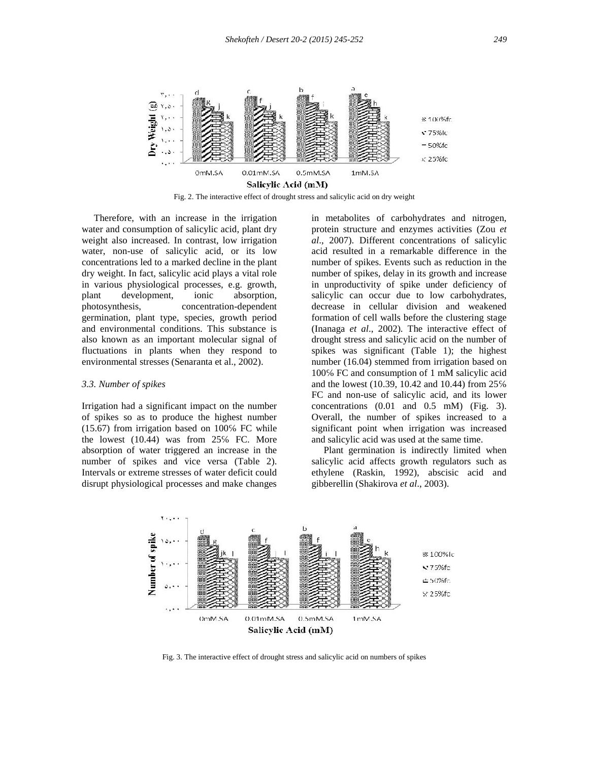

Fig. 2. The interactive effect of drought stress and salicylic acid on dry weight

Therefore, with an increase in the irrigation water and consumption of salicylic acid, plant dry weight also increased. In contrast, low irrigation water, non-use of salicylic acid, or its low concentrations led to a marked decline in the plant dry weight. In fact, salicylic acid plays a vital role in various physiological processes, e.g. growth, plant development, ionic absorption, photosynthesis, concentration-dependent germination, plant type, species, growth period and environmental conditions. This substance is also known as an important molecular signal of fluctuations in plants when they respond to environmental stresses (Senaranta et al., 2002).

#### *3.3. Number of spikes*

Irrigation had a significant impact on the number of spikes so as to produce the highest number  $(15.67)$  from irrigation based on  $100$  FC while the lowest (10.44) was from 25 FC. More absorption of water triggered an increase in the number of spikes and vice versa (Table 2). Intervals or extreme stresses of water deficit could disrupt physiological processes and make changes

in metabolites of carbohydrates and nitrogen, protein structure and enzymes activities (Zou *et al*., 2007). Different concentrations of salicylic acid resulted in a remarkable difference in the number of spikes. Events such as reduction in the number of spikes, delay in its growth and increase in unproductivity of spike under deficiency of salicylic can occur due to low carbohydrates, decrease in cellular division and weakened formation of cell walls before the clustering stage (Inanaga *et al*., 2002). The interactive effect of drought stress and salicylic acid on the number of spikes was significant (Table 1); the highest number (16.04) stemmed from irrigation based on 100 FC and consumption of 1 mM salicylic acid and the lowest (10.39, 10.42 and 10.44) from 25 FC and non-use of salicylic acid, and its lower concentrations (0.01 and 0.5 mM) (Fig. 3). Overall, the number of spikes increased to a significant point when irrigation was increased and salicylic acid was used at the same time.

Plant germination is indirectly limited when salicylic acid affects growth regulators such as ethylene (Raskin, 1992), abscisic acid and gibberellin (Shakirova *et al*., 2003).



Fig. 3. The interactive effect of drought stress and salicylic acid on numbers of spikes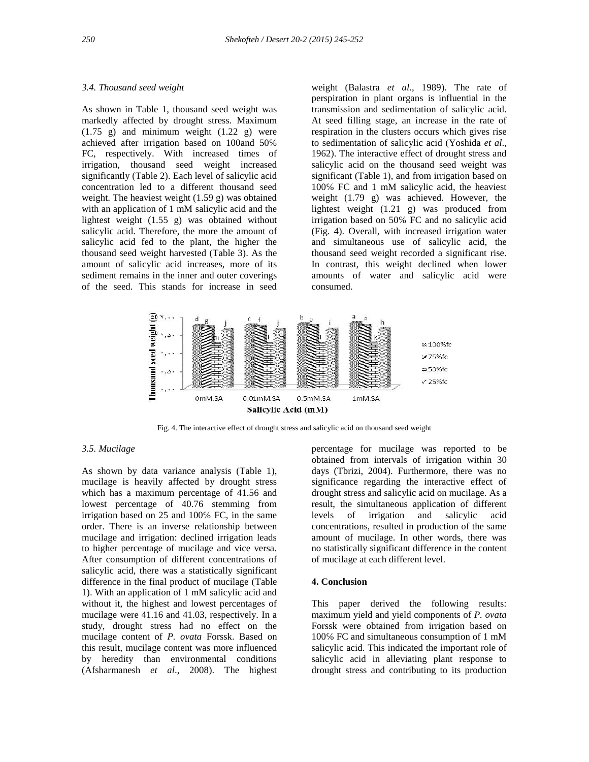#### *3.4. Thousand seed weight*

As shown in Table 1, thousand seed weight was markedly affected by drought stress. Maximum  $(1.75 \text{ g})$  and minimum weight  $(1.22 \text{ g})$  were achieved after irrigation based on 100and 50 FC, respectively. With increased times of irrigation, thousand seed weight increased significantly (Table 2). Each level of salicylic acid concentration led to a different thousand seed weight. The heaviest weight (1.59 g) was obtained with an application of 1 mM salicylic acid and the lightest weight (1.55 g) was obtained without salicylic acid. Therefore, the more the amount of salicylic acid fed to the plant, the higher the thousand seed weight harvested (Table 3). As the amount of salicylic acid increases, more of its sediment remains in the inner and outer coverings of the seed. This stands for increase in seed

weight (Balastra *et al*., 1989). The rate of perspiration in plant organs is influential in the transmission and sedimentation of salicylic acid. At seed filling stage, an increase in the rate of respiration in the clusters occurs which gives rise to sedimentation of salicylic acid (Yoshida *et al*., 1962). The interactive effect of drought stress and salicylic acid on the thousand seed weight was significant (Table 1), and from irrigation based on 100 FC and 1 mM salicylic acid, the heaviest weight (1.79 g) was achieved. However, the lightest weight (1.21 g) was produced from irrigation based on 50 FC and no salicylic acid (Fig. 4). Overall, with increased irrigation water and simultaneous use of salicylic acid, the thousand seed weight recorded a significant rise. In contrast, this weight declined when lower amounts of water and salicylic acid were consumed.



Fig. 4. The interactive effect of drought stress and salicylic acid on thousand seed weight

## *3.5. Mucilage*

As shown by data variance analysis (Table 1), mucilage is heavily affected by drought stress which has a maximum percentage of 41.56 and lowest percentage of 40.76 stemming from irrigation based on  $25$  and  $100$  FC, in the same order. There is an inverse relationship between mucilage and irrigation: declined irrigation leads to higher percentage of mucilage and vice versa. After consumption of different concentrations of salicylic acid, there was a statistically significant difference in the final product of mucilage (Table 1). With an application of 1 mM salicylic acid and without it, the highest and lowest percentages of mucilage were 41.16 and 41.03, respectively. In a study, drought stress had no effect on the mucilage content of *P. ovata* Forssk. Based on this result, mucilage content was more influenced by heredity than environmental conditions (Afsharmanesh *et al*., 2008). The highest

percentage for mucilage was reported to be obtained from intervals of irrigation within 30 days (Tbrizi, 2004). Furthermore, there was no significance regarding the interactive effect of drought stress and salicylic acid on mucilage. As a result, the simultaneous application of different levels of irrigation and salicylic acid concentrations, resulted in production of the same amount of mucilage. In other words, there was no statistically significant difference in the content of mucilage at each different level.

## **4. Conclusion**

This paper derived the following results: maximum yield and yield components of *P. ovata* Forssk were obtained from irrigation based on 100 FC and simultaneous consumption of 1 mM salicylic acid. This indicated the important role of salicylic acid in alleviating plant response to drought stress and contributing to its production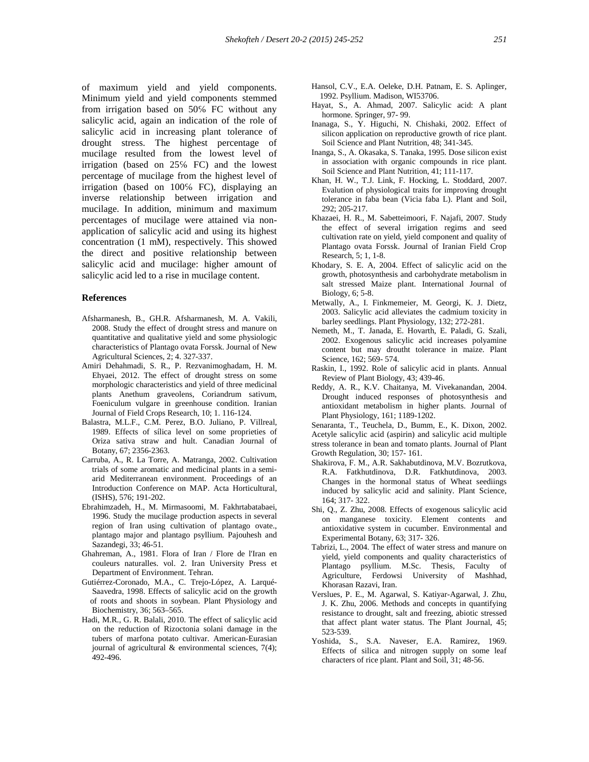of maximum yield and yield components. Minimum yield and yield components stemmed from irrigation based on 50 FC without any salicylic acid, again an indication of the role of salicylic acid in increasing plant tolerance of drought stress. The highest percentage of mucilage resulted from the lowest level of irrigation (based on 25 FC) and the lowest percentage of mucilage from the highest level of irrigation (based on 100 FC), displaying an inverse relationship between irrigation and mucilage. In addition, minimum and maximum percentages of mucilage were attained via non application of salicylic acid and using its highest concentration (1 mM), respectively. This showed the direct and positive relationship between salicylic acid and mucilage: higher amount of salicylic acid led to a rise in mucilage content.

#### **References**

- Afsharmanesh, B., GH.R. Afsharmanesh, M. A. Vakili, 2008. Study the effect of drought stress and manure on quantitative and qualitative yield and some physiologic characteristics of Plantago ovata Forssk. Journal of New Agricultural Sciences, 2; 4. 327-337.
- Amiri Dehahmadi, S. R., P. Rezvanimoghadam, H. M. Ehyaei, 2012. The effect of drought stress on some morphologic characteristics and yield of three medicinal plants Anethum graveolens, Coriandrum sativum, Foeniculum vulgare in greenhouse condition. Iranian Journal of Field Crops Research, 10; 1. 116-124.
- Balastra, M.L.F., C.M. Perez, B.O. Juliano, P. Villreal, 1989. Effects of sílica level on some proprieties of Oriza sativa straw and hult. Canadian Journal of Botany, 67; 2356-2363.
- Carruba, A., R. La Torre, A. Matranga, 2002. Cultivation trials of some aromatic and medicinal plants in a semi arid Mediterranean environment. Proceedings of an Introduction Conference on MAP. Acta Horticultural, (ISHS), 576; 191-202.
- Ebrahimzadeh, H., M. Mirmasoomi, M. Fakhrtabatabaei, 1996. Study the mucilage production aspects in several region of Iran using cultivation of plantago ovate., plantago major and plantago psyllium. Pajouhesh and Sazandegi, 33; 46-51.
- Ghahreman, A., 1981. Flora of Iran / Flore de l'Iran en couleurs naturalles. vol. 2. Iran University Press et Department of Environment. Tehran.
- Gutiérrez-Coronado, M.A., C. Trejo-López, A. Larqué- Saavedra, 1998. Effects of salicylic acid on the growth of roots and shoots in soybean. Plant Physiology and Biochemistry, 36; 563–565.
- Hadi, M.R., G. R. Balali, 2010. The effect of salicylic acid on the reduction of Rizoctonia solani damage in the tubers of marfona potato cultivar. American-Eurasian journal of agricultural  $\&$  environmental sciences, 7(4); 492-496.
- Hansol, C.V., E.A. Oeleke, D.H. Patnam, E. S. Aplinger, 1992. Psyllium. Madison, WI53706.
- Hayat, S., A. Ahmad, 2007. Salicylic acid: A plant hormone. Springer, 97- 99.
- Inanaga, S., Y. Higuchi, N. Chishaki, 2002. Effect of silicon application on reproductive growth of rice plant. Soil Science and Plant Nutrition, 48; 341-345.
- Inanga, S., A. Okasaka, S. Tanaka, 1995. Dose silicon exist in association with organic compounds in rice plant. Soil Science and Plant Nutrition, 41; 111-117.
- Khan, H. W., T.J. Link, F. Hocking, L. Stoddard, 2007. Evalution of physiological traits for improving drought tolerance in faba bean (Vicia faba L). Plant and Soil, 292; 205-217.
- Khazaei, H. R., M. Sabetteimoori, F. Najafi, 2007. Study the effect of several irrigation regims and seed cultivation rate on yield, yield component and quality of Plantago ovata Forssk. Journal of Iranian Field Crop Research, 5; 1, 1-8.
- Khodary, S. E. A, 2004. Effect of salicylic acid on the growth, photosynthesis and carbohydrate metabolism in salt stressed Maize plant. International Journal of Biology, 6; 5-8.
- Metwally, A., I. Finkmemeier, M. Georgi, K. J. Dietz, 2003. Salicylic acid alleviates the cadmium toxicity in barley seedlings. Plant Physiology, 132; 272-281.
- Nemeth, M., T. Janada, E. Hovarth, E. Paladi, G. Szali, 2002. Exogenous salicylic acid increases polyamine content but may droutht tolerance in maize. Plant Science, 162; 569- 574.
- Raskin, I., 1992. Role of salicylic acid in plants. Annual Review of Plant Biology, 43; 439-46.
- Reddy, A. R., K.V. Chaitanya, M. Vivekanandan, 2004. Drought induced responses of photosynthesis and antioxidant metabolism in higher plants. Journal of Plant Physiology, 161; 1189-1202.

Senaranta, T., Teuchela, D., Bumm, E., K. Dixon, 2002. Acetyle salicylic acid (aspirin) and salicylic acid multiple stress tolerance in bean and tomato plants. Journal of Plant Growth Regulation, 30; 157- 161.

- Shakirova, F. M., A.R. Sakhabutdinova, M.V. Bozrutkova, R.A. Fatkhutdinova, D.R. Fatkhutdinova, 2003. Changes in the hormonal status of Wheat seediings induced by salicylic acid and salinity. Plant Science, 164; 317- 322.
- Shi, Q., Z. Zhu, 2008. Effects of exogenous salicylic acid on manganese toxicity. Element contents and antioxidative system in cucumber. Environmental and Experimental Botany, 63; 317- 326.
- Tabrizi, L., 2004. The effect of water stress and manure on yield, yield components and quality characteristics of Plantago psyllium. M.Sc. Thesis, Faculty of Agriculture, Ferdowsi University of Mashhad, Khorasan Razavi, Iran.
- Verslues, P. E., M. Agarwal, S. Katiyar-Agarwal, J. Zhu, J. K. Zhu, 2006. Methods and concepts in quantifying resistance to drought, salt and freezing, abiotic stressed that affect plant water status. The Plant Journal, 45; 523-539.
- Yoshida, S., S.A. Naveser, E.A. Ramirez, 1969. Effects of silica and nitrogen supply on some leaf characters of rice plant. Plant and Soil, 31; 48-56.